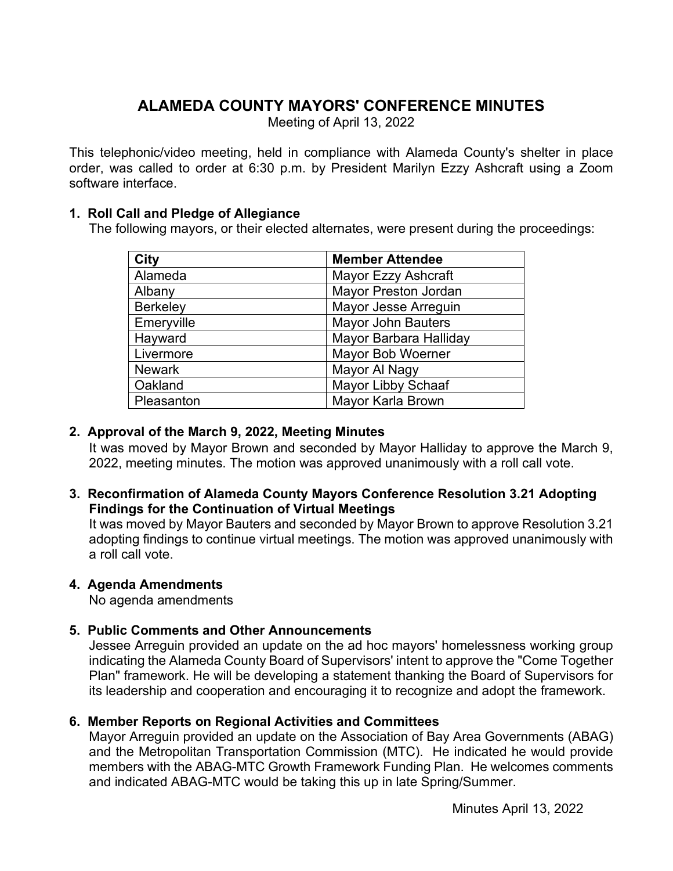# **ALAMEDA COUNTY MAYORS' CONFERENCE MINUTES**

Meeting of April 13, 2022

This telephonic/video meeting, held in compliance with Alameda County's shelter in place order, was called to order at 6:30 p.m. by President Marilyn Ezzy Ashcraft using a Zoom software interface.

## **1. Roll Call and Pledge of Allegiance**

The following mayors, or their elected alternates, were present during the proceedings:

| <b>City</b>     | <b>Member Attendee</b>      |
|-----------------|-----------------------------|
| Alameda         | Mayor Ezzy Ashcraft         |
| Albany          | <b>Mayor Preston Jordan</b> |
| <b>Berkeley</b> | Mayor Jesse Arreguin        |
| Emeryville      | <b>Mayor John Bauters</b>   |
| Hayward         | Mayor Barbara Halliday      |
| Livermore       | Mayor Bob Woerner           |
| <b>Newark</b>   | Mayor Al Nagy               |
| Oakland         | <b>Mayor Libby Schaaf</b>   |
| Pleasanton      | Mayor Karla Brown           |

## **2. Approval of the March 9, 2022, Meeting Minutes**

It was moved by Mayor Brown and seconded by Mayor Halliday to approve the March 9, 2022, meeting minutes. The motion was approved unanimously with a roll call vote.

## **3. Reconfirmation of Alameda County Mayors Conference Resolution 3.21 Adopting Findings for the Continuation of Virtual Meetings**

It was moved by Mayor Bauters and seconded by Mayor Brown to approve Resolution 3.21 adopting findings to continue virtual meetings. The motion was approved unanimously with a roll call vote.

# **4. Agenda Amendments**

No agenda amendments

# **5. Public Comments and Other Announcements**

Jessee Arreguin provided an update on the ad hoc mayors' homelessness working group indicating the Alameda County Board of Supervisors' intent to approve the "Come Together Plan" framework. He will be developing a statement thanking the Board of Supervisors for its leadership and cooperation and encouraging it to recognize and adopt the framework.

# **6. Member Reports on Regional Activities and Committees**

Mayor Arreguin provided an update on the Association of Bay Area Governments (ABAG) and the Metropolitan Transportation Commission (MTC). He indicated he would provide members with the ABAG-MTC Growth Framework Funding Plan. He welcomes comments and indicated ABAG-MTC would be taking this up in late Spring/Summer.